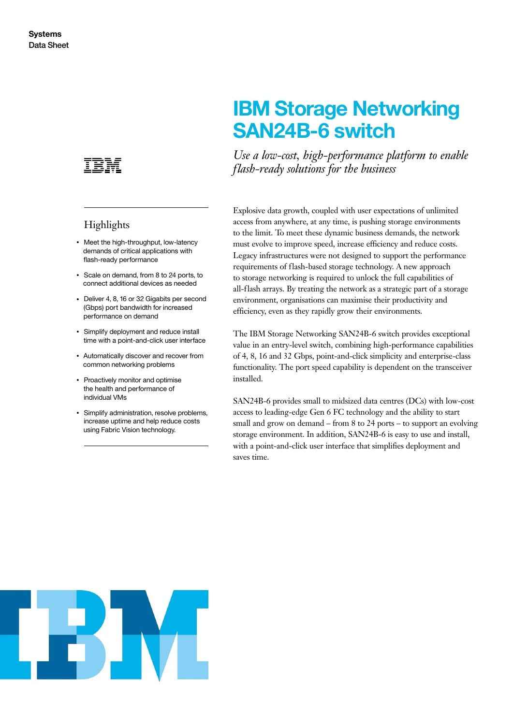

# **Highlights**

- Meet the high-throughput, low-latency demands of critical applications with flash-ready performance
- Scale on demand, from 8 to 24 ports, to connect additional devices as needed
- Deliver 4, 8, 16 or 32 Gigabits per second (Gbps) port bandwidth for increased performance on demand
- Simplify deployment and reduce install time with a point-and-click user interface
- Automatically discover and recover from common networking problems
- Proactively monitor and optimise the health and performance of individual VMs
- Simplify administration, resolve problems, increase uptime and help reduce costs using Fabric Vision technology.

# **IBM Storage Networking SAN24B-6 switch**

Use a low-cost, high-performance platform to enable *flash-r eady solutions for the business*

Explosive data growth, coupled with user expectations of unlimited access from anywhere, at any time, is pushing storage environments to the limit. To meet these dynamic business demands, the network must evolve to improve speed, increase efficiency and reduce costs. Legacy infrastructures were not designed to support the performance requirements of flash- based storage technology. A new approach to storage networking is required to unlock the full capabilities of all-flash arrays. By treating the network as a strategic part of a storage environment, organisations can maximise their productivity and efficiency, even as they rapidly grow their environments.

The IBM Storage Networking SAN24B-6 switch provides exceptional value in an entry-level switch, combining high-performance capabilities of 4, 8, 16 and 32 Gbps, point-and- click simplicity and enterprise-class functionality. The port speed capability is dependent on the transceiver installed.

SAN24B-6 provides small to midsized data centres (DCs) with low-cost access to leading-edge Gen 6 FC technology and the ability to start small and grow on demand – from 8 to 24 ports – to support an evolving storage environment. In addition, SAN24B-6 is easy to use and install, with a point-and- click user interface that simplifies deployment and saves time.

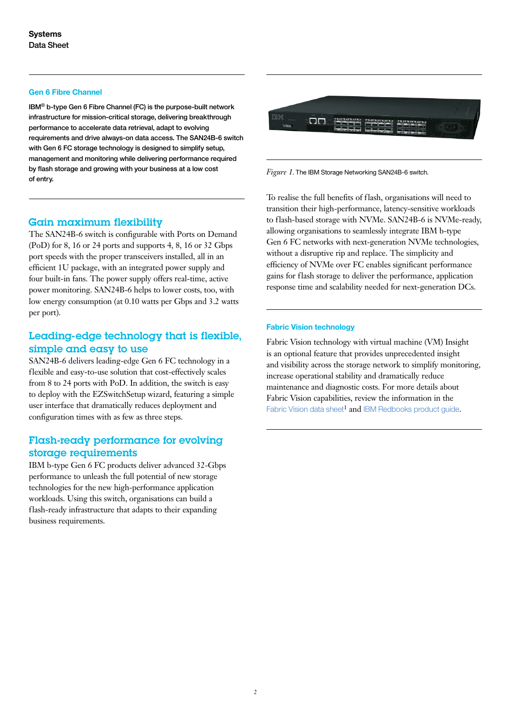#### **Gen 6 Fibre Channel**

 $IBM<sup>®</sup>$  b-type Gen 6 Fibre Channel (FC) is the purpose-built network infrastructure for mission-critical storage, delivering breakthrough performance to accelerate data retrieval, adapt to evolving requirements and drive always-on data access. The SAN24B-6 switch with Gen 6 FC storage technology is designed to simplify setup. management and monitoring while delivering performance required by flash storage and growing with your business at a low cost of entry.

#### Gain maximum flexibility

The SAN24B-6 switch is configurable with Ports on Demand (PoD) for 8, 16 or 24 ports and supports 4, 8, 16 or 32 Gbps port speeds with the proper transceivers installed, all in an efficient 1U package, with an integrated power supply and four built-in fans. The power supply offers real-time, active power monitoring. SAN24B-6 helps to lower costs, too, with low energy consumption (at 0.10 watts per Gbps and 3.2 watts per port).

# Leading- edge technology that is flexible, simple and easy to use

SAN24B-6 delivers leading-edge Gen 6 FC technology in a flexible and easy-to-use solution that cost-effectively scales from 8 to 24 ports with PoD. In addition, the switch is easy to deploy with the EZSwitchSetup wizard, featuring a simple user interface that dramatically reduces deployment and configuration times with as few as three steps.

## Flash-ready performance for evolving storage requirements

IBM b-type Gen 6 FC products deliver advanced 32-Gbps performance to unleash the full potential of new storage technologies for the new high-performance application workloads. Using this switch, organisations can build a flash-ready infrastructure that adapts to their expanding business requirements.



*Figure 1*. The IBM Storage Networking SAN24B-6 switch.

To realise the full benefits of flash, organisations will need to transition their high-performance, latency-sensitive workloads to flash-based storage with NVMe. SAN24B-6 is NVMe-ready, allowing organisations to seamlessly integrate IBM b-type Gen 6 FC networks with next-generation NVMe technologies, without a disruptive rip and replace. The simplicity and efficiency of NVMe over FC enables significant performance gains for flash storage to deliver the performance, application response time and scalability needed for next-generation DCs.

#### **Fabric Vision technology**

Fabric Vision technology with virtual machine (VM) Insight is an optional feature that provides unprecedented insight and visibility across the storage network to simplify monitoring, increase operational stability and dramatically reduce maintenance and diagnostic costs. For more details about Fabric Vision capabilities, review the information in the [Fabric Vision data sheet](https://www.ibm.com/common/ssi/cgi-bin/ssialias?htmlfid=TSD03227USEN& )<sup>1</sup> and [IBM Redbooks product guide](http://www.redbooks.ibm.com/abstracts/redp5400.html?Open).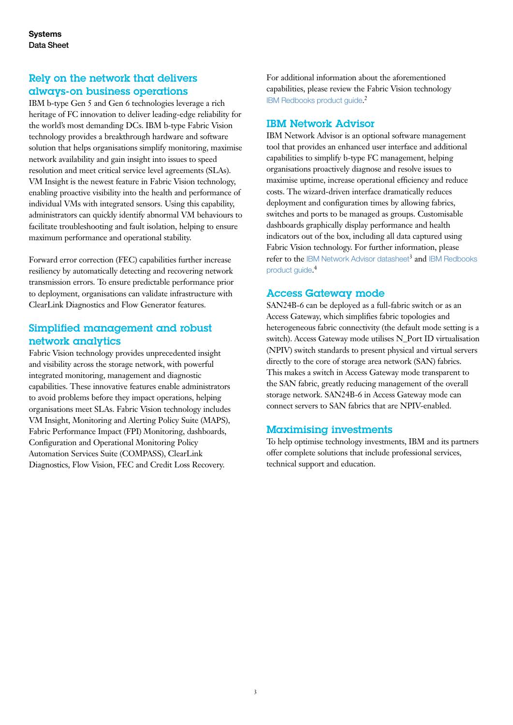# Rely on the network that delivers always- on business operations

IBM b-type Gen 5 and Gen 6 technologies leverage a rich heritage of FC innovation to deliver leading-edge reliability for the world's most demanding DCs. IBM b-type Fabric Vision technology provides a breakthrough hardware and software solution that helps organisations simplify monitoring, maximise network availability and gain insight into issues to speed resolution and meet critical service level agreements (SLAs). VM Insight is the newest feature in Fabric Vision technology, enabling proactive visibility into the health and performance of individual VMs with integrated sensors. Using this capability, administrators can quickly identify abnormal VM behaviours to facilitate troubleshooting and fault isolation, helping to ensure maximum performance and operational stability.

Forward error correction (FEC) capabilities further increase resiliency by automatically detecting and recovering network transmission errors. To ensure predictable performance prior to deployment, organisations can validate infrastructure with ClearLink Diagnostics and Flow Generator features.

# Simplified management and robust network analytics

Fabric Vision technology provides unprecedented insight and visibility across the storage network, with powerful integrated monitoring, management and diagnostic capabilities. These innovative features enable administrators to avoid problems before they impact operations, helping organisations meet SLAs. Fabric Vision technology includes VM Insight, Monitoring and Alerting Policy Suite (MAPS), Fabric Performance Impact (FPI) Monitoring, dashboards, Configuration and Operational Monitoring Policy Automation Services Suite (COMPASS), ClearLink Diagnostics, Flow Vision, FEC and Credit Loss Recovery.

For additional information about the aforementioned capabilities, please review the Fabric Vision technology [IBM Redbooks product guide](http://www.redbooks.ibm.com/abstracts/redp5400.html?Open). 2

## IBM Network Advisor

IBM Network Advisor is an optional software management tool that provides an enhanced user interface and additional capabilities to simplify b-type FC management, helping organisations proactively diagnose and resolve issues to maximise uptime, increase operational efficiency and reduce costs. The wizard-driven interface dramatically reduces deployment and configuration times by allowing fabrics, switches and ports to be managed as groups. Customisable dashboards graphically display performance and health indicators out of the box, including all data captured using Fabric Vision technology. For further information, please refer to the [IBM Network Advisor datasheet](https://www.ibm.com/common/ssi/cgi-bin/ssialias?htmlfid=TSD03141USEN)<sup>3</sup> and IBM Redbooks [product guide](http://www.redbooks.ibm.com/abstracts/tips1124.html?Open). 4

### Access Gateway mode

SAN24B-6 can be deployed as a full-fabric switch or as an Access Gateway, which simplifies fabric topologies and heterogeneous fabric connectivity (the default mode setting is a switch). Access Gateway mode utilises N\_Port ID virtualisation (NPIV) switch standards to present physical and virtual servers directly to the core of storage area network (SAN) fabrics. This makes a switch in Access Gateway mode transparent to the SAN fabric, greatly reducing management of the overall storage network. SAN24B-6 in Access Gateway mode can connect servers to SAN fabrics that are NPIV-enabled.

# Maximising investments

To help optimise technology investments, IBM and its partners offer complete solutions that include professional services, technical support and education.